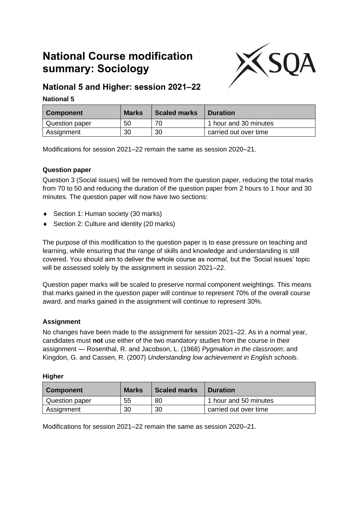# **National Course modification summary: Sociology**



# **National 5 and Higher: session 2021–22**

# **National 5**

| Component      | <b>Marks</b> | <b>Scaled marks</b> | <b>Duration</b>       |
|----------------|--------------|---------------------|-----------------------|
| Question paper | 50           | 70                  | 1 hour and 30 minutes |
| Assignment     | 30           | 30                  | carried out over time |

Modifications for session 2021–22 remain the same as session 2020–21.

# **Question paper**

Question 3 (Social issues) will be removed from the question paper, reducing the total marks from 70 to 50 and reducing the duration of the question paper from 2 hours to 1 hour and 30 minutes. The question paper will now have two sections:

- ◆ Section 1: Human society (30 marks)
- ◆ Section 2: Culture and identity (20 marks)

The purpose of this modification to the question paper is to ease pressure on teaching and learning, while ensuring that the range of skills and knowledge and understanding is still covered. You should aim to deliver the whole course as normal, but the 'Social issues' topic will be assessed solely by the assignment in session 2021–22.

Question paper marks will be scaled to preserve normal component weightings. This means that marks gained in the question paper will continue to represent 70% of the overall course award, and marks gained in the assignment will continue to represent 30%.

# **Assignment**

No changes have been made to the assignment for session 2021–22. As in a normal year, candidates must **not** use either of the two mandatory studies from the course in their assignment — Rosenthal, R. and Jacobson, L. (1968) *Pygmalion in the classroom*; and Kingdon, G. and Cassen, R. (2007) *Understanding low achievement in English schools*.

#### **Higher**

| <b>Component</b> | <b>Marks</b> | <b>Scaled marks</b> | <b>Duration</b>       |
|------------------|--------------|---------------------|-----------------------|
| Question paper   | 55           | 80                  | 1 hour and 50 minutes |
| Assignment       | 30           | 30                  | carried out over time |

Modifications for session 2021–22 remain the same as session 2020–21.